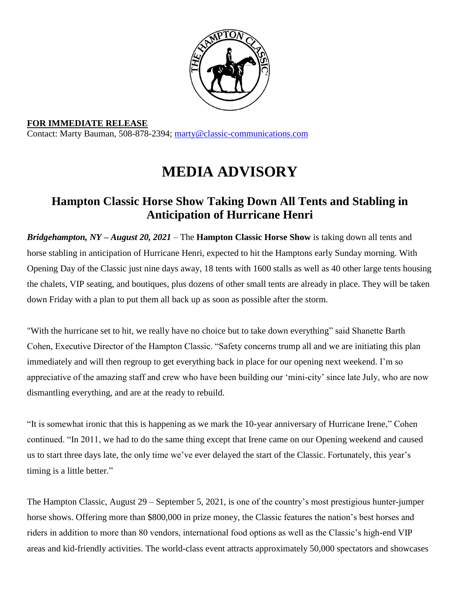

**FOR IMMEDIATE RELEASE** Contact: Marty Bauman, 508-878-2394; [marty@classic-communications.com](about:blank)

## **MEDIA ADVISORY**

## **Hampton Classic Horse Show Taking Down All Tents and Stabling in Anticipation of Hurricane Henri**

*Bridgehampton, NY – August 20, 2021 –* The **Hampton Classic Horse Show** is taking down all tents and horse stabling in anticipation of Hurricane Henri, expected to hit the Hamptons early Sunday morning. With Opening Day of the Classic just nine days away, 18 tents with 1600 stalls as well as 40 other large tents housing the chalets, VIP seating, and boutiques, plus dozens of other small tents are already in place. They will be taken down Friday with a plan to put them all back up as soon as possible after the storm.

"With the hurricane set to hit, we really have no choice but to take down everything" said Shanette Barth Cohen, Executive Director of the Hampton Classic. "Safety concerns trump all and we are initiating this plan immediately and will then regroup to get everything back in place for our opening next weekend. I'm so appreciative of the amazing staff and crew who have been building our 'mini-city' since late July, who are now dismantling everything, and are at the ready to rebuild.

"It is somewhat ironic that this is happening as we mark the 10-year anniversary of Hurricane Irene," Cohen continued. "In 2011, we had to do the same thing except that Irene came on our Opening weekend and caused us to start three days late, the only time we've ever delayed the start of the Classic. Fortunately, this year's timing is a little better."

The Hampton Classic, August 29 – September 5, 2021, is one of the country's most prestigious hunter-jumper horse shows. Offering more than \$800,000 in prize money, the Classic features the nation's best horses and riders in addition to more than 80 vendors, international food options as well as the Classic's high-end VIP areas and kid-friendly activities. The world-class event attracts approximately 50,000 spectators and showcases